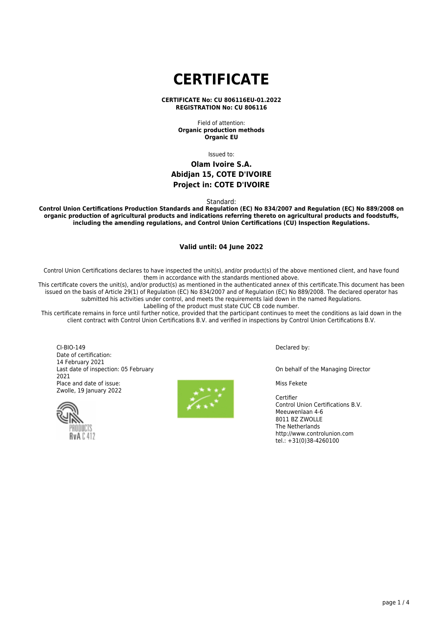# **CERTIFICATE**

#### **CERTIFICATE No: CU 806116EU-01.2022 REGISTRATION No: CU 806116**

Field of attention: **Organic production methods Organic EU**

Issued to:

## **Olam Ivoire S.A. Abidjan 15, COTE D'IVOIRE Project in: COTE D'IVOIRE**

Standard:

**Control Union Certifications Production Standards and Regulation (EC) No 834/2007 and Regulation (EC) No 889/2008 on organic production of agricultural products and indications referring thereto on agricultural products and foodstuffs, including the amending regulations, and Control Union Certifications (CU) Inspection Regulations.**

## **Valid until: 04 June 2022**

Control Union Certifications declares to have inspected the unit(s), and/or product(s) of the above mentioned client, and have found them in accordance with the standards mentioned above.

This certificate covers the unit(s), and/or product(s) as mentioned in the authenticated annex of this certificate.This document has been issued on the basis of Article 29(1) of Regulation (EC) No 834/2007 and of Regulation (EC) No 889/2008. The declared operator has submitted his activities under control, and meets the requirements laid down in the named Regulations. Labelling of the product must state CUC CB code number.

This certificate remains in force until further notice, provided that the participant continues to meet the conditions as laid down in the client contract with Control Union Certifications B.V. and verified in inspections by Control Union Certifications B.V.

CI-BIO-149 Date of certification: 14 February 2021 Last date of inspection: 05 February 2021 Place and date of issue: Zwolle, 19 January 2022





Declared by:

On behalf of the Managing Director

Miss Fekete

Certifier Control Union Certifications B.V. Meeuwenlaan 4-6 8011 BZ ZWOLLE The Netherlands http://www.controlunion.com tel.: +31(0)38-4260100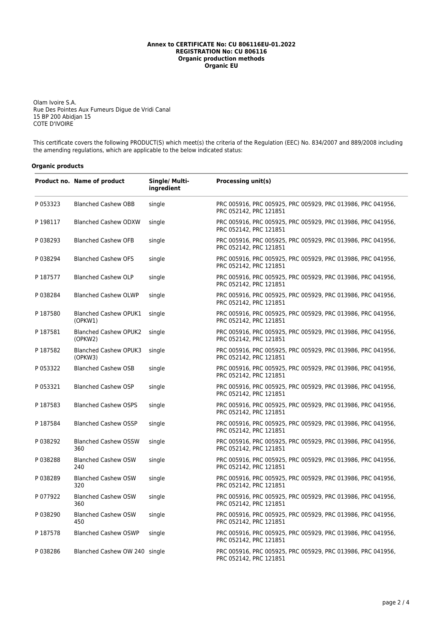## **Annex to CERTIFICATE No: CU 806116EU-01.2022 REGISTRATION No: CU 806116 Organic production methods Organic EU**

Olam Ivoire S.A. Rue Des Pointes Aux Fumeurs Digue de Vridi Canal 15 BP 200 Abidjan 15 COTE D'IVOIRE

This certificate covers the following PRODUCT(S) which meet(s) the criteria of the Regulation (EEC) No. 834/2007 and 889/2008 including the amending regulations, which are applicable to the below indicated status:

## **Organic products**

|          | Product no. Name of product             | Single/ Multi-<br>ingredient | <b>Processing unit(s)</b>                                                             |
|----------|-----------------------------------------|------------------------------|---------------------------------------------------------------------------------------|
| P 053323 | <b>Blanched Cashew OBB</b>              | single                       | PRC 005916, PRC 005925, PRC 005929, PRC 013986, PRC 041956,<br>PRC 052142, PRC 121851 |
| P 198117 | <b>Blanched Cashew ODXW</b>             | single                       | PRC 005916, PRC 005925, PRC 005929, PRC 013986, PRC 041956,<br>PRC 052142, PRC 121851 |
| P038293  | <b>Blanched Cashew OFB</b>              | single                       | PRC 005916, PRC 005925, PRC 005929, PRC 013986, PRC 041956,<br>PRC 052142, PRC 121851 |
| P038294  | <b>Blanched Cashew OFS</b>              | single                       | PRC 005916, PRC 005925, PRC 005929, PRC 013986, PRC 041956,<br>PRC 052142, PRC 121851 |
| P 187577 | <b>Blanched Cashew OLP</b>              | single                       | PRC 005916, PRC 005925, PRC 005929, PRC 013986, PRC 041956,<br>PRC 052142, PRC 121851 |
| P038284  | <b>Blanched Cashew OLWP</b>             | single                       | PRC 005916, PRC 005925, PRC 005929, PRC 013986, PRC 041956,<br>PRC 052142, PRC 121851 |
| P187580  | <b>Blanched Cashew OPUK1</b><br>(OPKW1) | single                       | PRC 005916, PRC 005925, PRC 005929, PRC 013986, PRC 041956,<br>PRC 052142, PRC 121851 |
| P 187581 | <b>Blanched Cashew OPUK2</b><br>(OPKW2) | single                       | PRC 005916, PRC 005925, PRC 005929, PRC 013986, PRC 041956,<br>PRC 052142, PRC 121851 |
| P 187582 | <b>Blanched Cashew OPUK3</b><br>(OPKW3) | single                       | PRC 005916, PRC 005925, PRC 005929, PRC 013986, PRC 041956,<br>PRC 052142, PRC 121851 |
| P 053322 | <b>Blanched Cashew OSB</b>              | single                       | PRC 005916, PRC 005925, PRC 005929, PRC 013986, PRC 041956,<br>PRC 052142, PRC 121851 |
| P 053321 | <b>Blanched Cashew OSP</b>              | single                       | PRC 005916, PRC 005925, PRC 005929, PRC 013986, PRC 041956,<br>PRC 052142, PRC 121851 |
| P 187583 | <b>Blanched Cashew OSPS</b>             | single                       | PRC 005916, PRC 005925, PRC 005929, PRC 013986, PRC 041956,<br>PRC 052142, PRC 121851 |
| P 187584 | <b>Blanched Cashew OSSP</b>             | single                       | PRC 005916, PRC 005925, PRC 005929, PRC 013986, PRC 041956,<br>PRC 052142, PRC 121851 |
| P038292  | <b>Blanched Cashew OSSW</b><br>360      | single                       | PRC 005916, PRC 005925, PRC 005929, PRC 013986, PRC 041956,<br>PRC 052142, PRC 121851 |
| P038288  | <b>Blanched Cashew OSW</b><br>240       | single                       | PRC 005916, PRC 005925, PRC 005929, PRC 013986, PRC 041956,<br>PRC 052142, PRC 121851 |
| P038289  | <b>Blanched Cashew OSW</b><br>320       | single                       | PRC 005916, PRC 005925, PRC 005929, PRC 013986, PRC 041956,<br>PRC 052142, PRC 121851 |
| P 077922 | <b>Blanched Cashew OSW</b><br>360       | single                       | PRC 005916, PRC 005925, PRC 005929, PRC 013986, PRC 041956,<br>PRC 052142, PRC 121851 |
| P038290  | <b>Blanched Cashew OSW</b><br>450       | single                       | PRC 005916, PRC 005925, PRC 005929, PRC 013986, PRC 041956,<br>PRC 052142, PRC 121851 |
| P 187578 | <b>Blanched Cashew OSWP</b>             | single                       | PRC 005916, PRC 005925, PRC 005929, PRC 013986, PRC 041956,<br>PRC 052142, PRC 121851 |
| P038286  | Blanched Cashew OW 240 single           |                              | PRC 005916, PRC 005925, PRC 005929, PRC 013986, PRC 041956,<br>PRC 052142, PRC 121851 |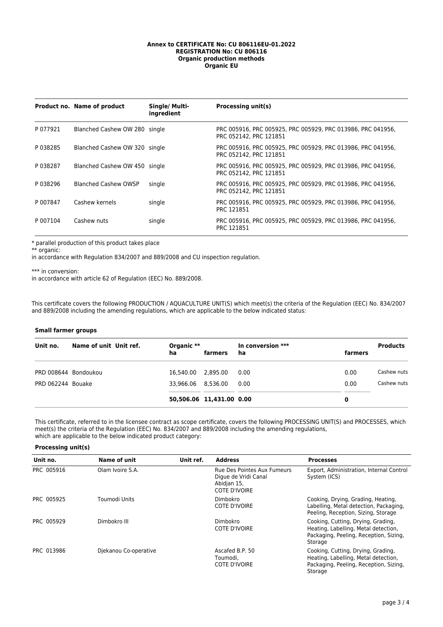## **Annex to CERTIFICATE No: CU 806116EU-01.2022 REGISTRATION No: CU 806116 Organic production methods Organic EU**

|          | Product no. Name of product   | Single/ Multi-<br>ingredient | Processing unit(s)                                                                    |
|----------|-------------------------------|------------------------------|---------------------------------------------------------------------------------------|
| P 077921 | Blanched Cashew OW 280 single |                              | PRC 005916, PRC 005925, PRC 005929, PRC 013986, PRC 041956,<br>PRC 052142, PRC 121851 |
| P038285  | Blanched Cashew OW 320 single |                              | PRC 005916, PRC 005925, PRC 005929, PRC 013986, PRC 041956,<br>PRC 052142, PRC 121851 |
| P038287  | Blanched Cashew OW 450 single |                              | PRC 005916, PRC 005925, PRC 005929, PRC 013986, PRC 041956,<br>PRC 052142, PRC 121851 |
| P038296  | <b>Blanched Cashew OWSP</b>   | single                       | PRC 005916, PRC 005925, PRC 005929, PRC 013986, PRC 041956,<br>PRC 052142, PRC 121851 |
| P 007847 | Cashew kernels                | single                       | PRC 005916, PRC 005925, PRC 005929, PRC 013986, PRC 041956,<br>PRC 121851             |
| P 007104 | Cashew nuts                   | single                       | PRC 005916, PRC 005925, PRC 005929, PRC 013986, PRC 041956,<br>PRC 121851             |

\* parallel production of this product takes place

\*\* organic:

in accordance with Regulation 834/2007 and 889/2008 and CU inspection regulation.

\*\*\* in conversion:

in accordance with article 62 of Regulation (EEC) No. 889/2008.

This certificate covers the following PRODUCTION / AQUACULTURE UNIT(S) which meet(s) the criteria of the Regulation (EEC) No. 834/2007 and 889/2008 including the amending regulations, which are applicable to the below indicated status:

## **Small farmer groups**

| Unit no.             | Name of unit Unit ref. | Organic **<br>ha   | farmers                  | In conversion ***<br>ha | farmers | <b>Products</b> |
|----------------------|------------------------|--------------------|--------------------------|-------------------------|---------|-----------------|
| PRD 008644 Bondoukou |                        | 16,540.00 2,895.00 |                          | 0.00                    | 0.00    | Cashew nuts     |
| PRD 062244 Bouake    |                        | 33.966.06 8.536.00 |                          | 0.00                    | 0.00    | Cashew nuts     |
|                      |                        |                    | 50,506.06 11,431.00 0.00 |                         | 0       |                 |

This certificate, referred to in the licensee contract as scope certificate, covers the following PROCESSING UNIT(S) and PROCESSES, which meet(s) the criteria of the Regulation (EEC) No. 834/2007 and 889/2008 including the amending regulations, which are applicable to the below indicated product category:

## **Processing unit(s)**

| Unit no.   | Name of unit          | Unit ref. | <b>Address</b>                                                                             | <b>Processes</b>                                                                                                                |
|------------|-----------------------|-----------|--------------------------------------------------------------------------------------------|---------------------------------------------------------------------------------------------------------------------------------|
| PRC 005916 | Olam Ivoire S.A.      |           | Rue Des Pointes Aux Fumeurs<br>Digue de Vridi Canal<br>Abidjan 15,<br><b>COTE D'IVOIRE</b> | Export, Administration, Internal Control<br>System (ICS)                                                                        |
| PRC 005925 | Toumodi Units         |           | <b>Dimbokro</b><br><b>COTE D'IVOIRE</b>                                                    | Cooking, Drying, Grading, Heating,<br>Labelling, Metal detection, Packaging,<br>Peeling, Reception, Sizing, Storage             |
| PRC 005929 | Dimbokro III          |           | <b>Dimbokro</b><br>COTE D'IVOIRE                                                           | Cooking, Cutting, Drying, Grading,<br>Heating, Labelling, Metal detection,<br>Packaging, Peeling, Reception, Sizing,<br>Storage |
| PRC 013986 | Diekanou Co-operative |           | Ascafed B.P. 50<br>Toumodi.<br><b>COTE D'IVOIRE</b>                                        | Cooking, Cutting, Drying, Grading,<br>Heating, Labelling, Metal detection,<br>Packaging, Peeling, Reception, Sizing,<br>Storage |